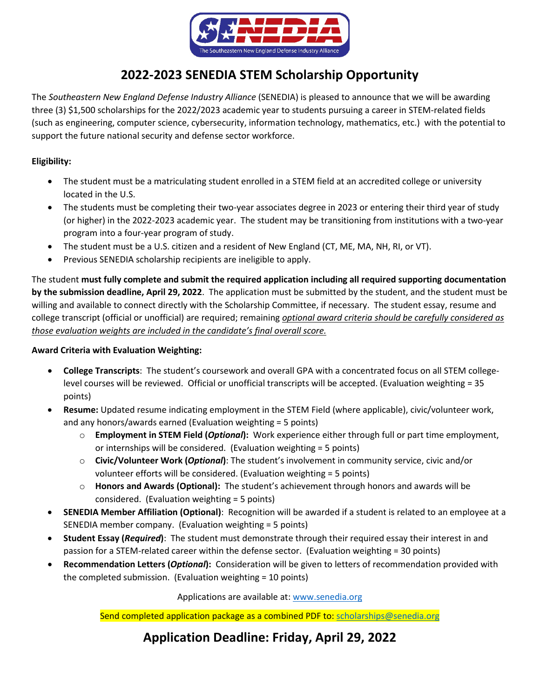

## **2022-2023 SENEDIA STEM Scholarship Opportunity**

The *Southeastern New England Defense Industry Alliance* (SENEDIA) is pleased to announce that we will be awarding three (3) \$1,500 scholarships for the 2022/2023 academic year to students pursuing a career in STEM-related fields (such as engineering, computer science, cybersecurity, information technology, mathematics, etc.) with the potential to support the future national security and defense sector workforce.

## **Eligibility:**

- The student must be a matriculating student enrolled in a STEM field at an accredited college or university located in the U.S.
- The students must be completing their two-year associates degree in 2023 or entering their third year of study (or higher) in the 2022-2023 academic year. The student may be transitioning from institutions with a two-year program into a four-year program of study.
- The student must be a U.S. citizen and a resident of New England (CT, ME, MA, NH, RI, or VT).
- Previous SENEDIA scholarship recipients are ineligible to apply.

The student **must fully complete and submit the required application including all required supporting documentation by the submission deadline, April 29, 2022**. The application must be submitted by the student, and the student must be willing and available to connect directly with the Scholarship Committee, if necessary. The student essay, resume and college transcript (official or unofficial) are required; remaining *optional award criteria should be carefully considered as those evaluation weights are included in the candidate's final overall score.*

## **Award Criteria with Evaluation Weighting:**

- **College Transcripts**: The student's coursework and overall GPA with a concentrated focus on all STEM collegelevel courses will be reviewed. Official or unofficial transcripts will be accepted. (Evaluation weighting = 35 points)
- **Resume:** Updated resume indicating employment in the STEM Field (where applicable), civic/volunteer work, and any honors/awards earned (Evaluation weighting = 5 points)
	- o **Employment in STEM Field (***Optional***):** Work experience either through full or part time employment, or internships will be considered. (Evaluation weighting = 5 points)
	- o **Civic/Volunteer Work (***Optional***)**: The student's involvement in community service, civic and/or volunteer efforts will be considered. (Evaluation weighting = 5 points)
	- o **Honors and Awards (Optional):** The student's achievement through honors and awards will be considered. (Evaluation weighting = 5 points)
- **SENEDIA Member Affiliation (Optional)**: Recognition will be awarded if a student is related to an employee at a SENEDIA member company. (Evaluation weighting = 5 points)
- **Student Essay (***Required***)**: The student must demonstrate through their required essay their interest in and passion for a STEM-related career within the defense sector. (Evaluation weighting = 30 points)
- **Recommendation Letters (***Optional***):** Consideration will be given to letters of recommendation provided with the completed submission. (Evaluation weighting = 10 points)

Applications are available at: [www.senedia.org](http://www.senedia.org/)

Send completed application package as a combined PDF to[: scholarships@senedia.org](mailto:scholarships@senedia.org)

**Application Deadline: Friday, April 29, 2022**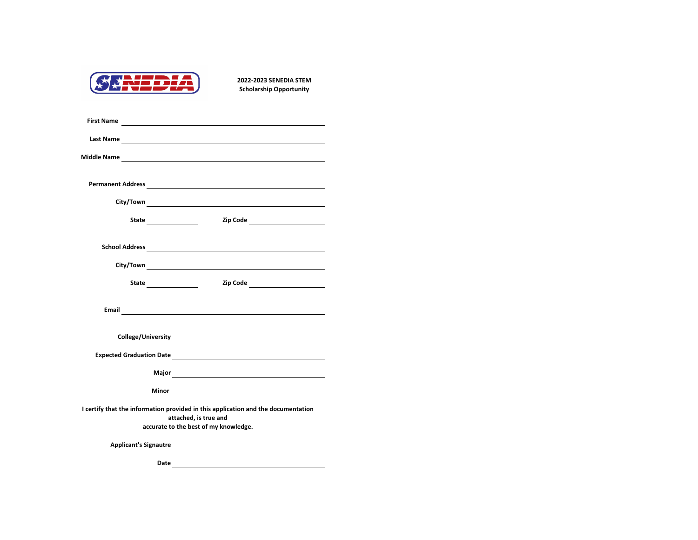

|                                                                                                            |  | Zip Code ________________________ |
|------------------------------------------------------------------------------------------------------------|--|-----------------------------------|
|                                                                                                            |  |                                   |
|                                                                                                            |  |                                   |
|                                                                                                            |  |                                   |
|                                                                                                            |  |                                   |
|                                                                                                            |  |                                   |
|                                                                                                            |  |                                   |
| I certify that the information provided in this application and the documentation<br>attached, is true and |  |                                   |
| accurate to the best of my knowledge.                                                                      |  |                                   |
|                                                                                                            |  |                                   |
|                                                                                                            |  |                                   |